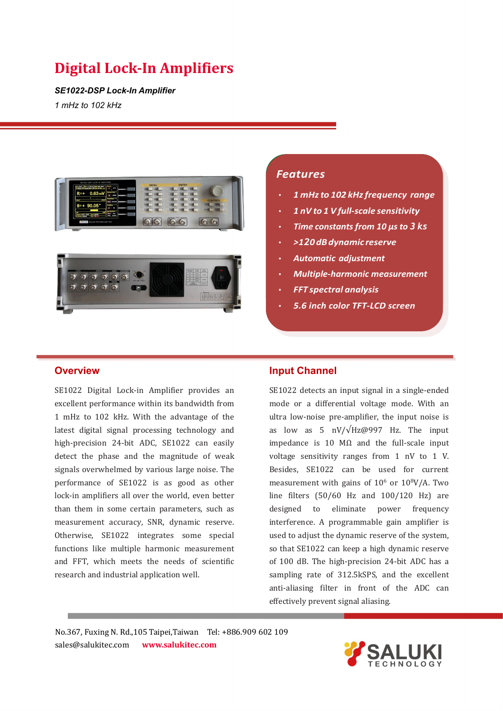*SE1022-DSP Lock-In Amplifier 1 mHz to 102 kHz*



# *Features*

- *1 mHzto 102 kHzfrequency range*
- *1 nV to 1 V full-scale sensitivity*
- *Time constants from 10 µs to 3 ks*
- *>120dBdynamic reserve*
- *Automatic adjustment*
- *Multiple-harmonic measurement*
- *FFT spectral analysis*
- *5.6 inch color TFT-LCD screen*

### **Overview**

SE1022 Digital Lock-in Amplifier provides an excellent performance within its bandwidth from 1 mHz to 102 kHz. With the advantage of the latest digital signal processing technology and high-precision 24-bit ADC, SE1022 can easily detect the phase and the magnitude of weak signals overwhelmed by various large noise. The performance of SE1022 is as good as other lock-in amplifiers all over the world, even better than them in some certain parameters, such as measurement accuracy, SNR, dynamic reserve. Otherwise, SE1022 integrates some special functions like multiple harmonic measurement and FFT, which meets the needs of scientific research and industrial application well.

### **Input Channel**

SE1022 detects an input signal in a single-ended mode or a differential voltage mode. With an ultra low-noise pre-amplifier, the input noise is as low as 5 nV/ $\sqrt{Hz@997}$  Hz. The input impedance is 10 MΩ and the full-scale input voltage sensitivity ranges from 1 nV to 1 V. Besides, SE1022 can be used for current measurement with gains of  $10^6$  or  $10^8$ V/A. Two line filters (50/60 Hz and 100/120 Hz) are eliminate power frequency interference. A programmable gain amplifier is used to adjust the dynamic reserve of the system, so that SE1022 can keep a high dynamic reserve of 100 dB. The high-precision 24-bit ADC has a sampling rate of 312.5kSPS, and the excellent anti-aliasing filter in front of the ADC can effectively prevent signal aliasing.

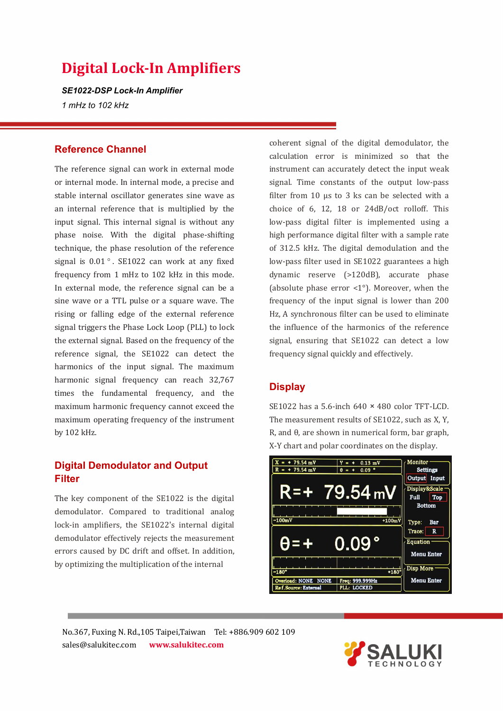*SE1022-DSP Lock-In Amplifier 1 mHz to 102 kHz*

### **Reference Channel**

The reference signal can work in external mode or internal mode. In internal mode, a precise and stable internal oscillator generates sine wave as an internal reference that is multiplied by the input signal. This internal signal is without any phase noise. With the digital phase-shifting technique, the phase resolution of the reference signal is  $0.01$ °. SE1022 can work at any fixed frequency from 1 mHz to 102 kHz in this mode. In external mode, the reference signal can be a sine wave or a TTL pulse or a square wave. The rising or falling edge of the external reference signal triggers the Phase Lock Loop (PLL) to lock the external signal. Based on the frequency of the reference signal, the SE1022 can detect the harmonics of the input signal. The maximum harmonic signal frequency can reach 32,767 times the fundamental frequency, and the maximum harmonic frequency cannot exceed the maximum operating frequency of the instrument by 102 kHz.

# **Digital Demodulator and Output Filter**

The key component of the SE1022 is the digital demodulator. Compared to traditional analog lock-in amplifiers, the SE1022's internal digital demodulator effectively rejects the measurement errors caused by DC drift and offset. In addition, by optimizing the multiplication of the internal

coherent signal of the digital demodulator, the calculation error is minimized so that the instrument can accurately detect the input weak signal. Time constants of the output low-pass filter from 10 µs to 3 ks can be selected with a choice of 6, 12, 18 or 24dB/oct rolloff. This low-pass digital filter is implemented using a high performance digital filter with a sample rate of 312.5 kHz. The digital demodulation and the low-pass filter used in SE1022 guarantees a high dynamic reserve (>120dB), accurate phase (absolute phase error <1°). Moreover, when the frequency of the input signal is lower than 200 Hz, A synchronous filter can be used to eliminate the influence of the harmonics of the reference signal, ensuring that SE1022 can detect a low frequency signal quickly and effectively.

# **Display**

SE1022 has a 5.6-inch 640 × 480 color TFT-LCD. The measurement results of SE1022, such as X, Y, R, and θ, are shown in numerical form, bar graph, X-Y chart and polar coordinates on the display.



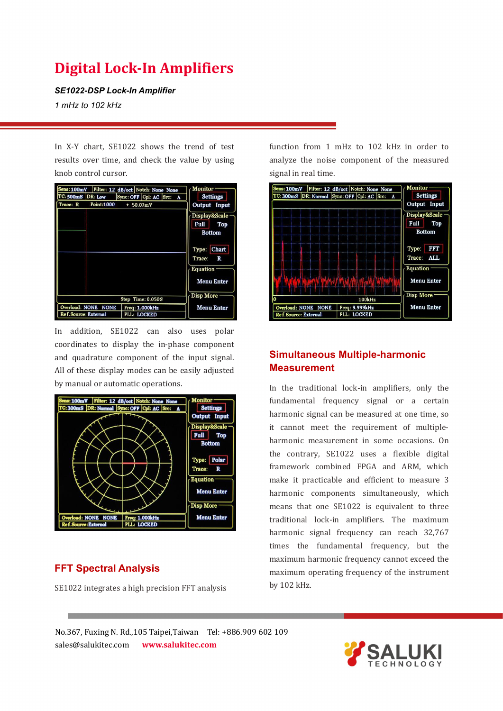*SE1022-DSP Lock-In Amplifier*

*1 mHz to 102 kHz*

In X-Y chart, SE1022 shows the trend of test results over time, and check the value by using knob control cursor.



In addition, SE1022 can also uses polar coordinates to display the in-phase component and quadrature component of the input signal. All of these display modes can be easily adjusted by manual or automatic operations.



# **FFT Spectral Analysis**

SE1022 integrates a high precision FFT analysis

function from 1 mHz to 102 kHz in order to analyze the noise component of the measured signal in real time.



# **Simultaneous Multiple-harmonic Measurement**

In the traditional lock-in amplifiers, only the fundamental frequency signal or a certain harmonic signal can be measured at one time, so it cannot meet the requirement of multiple harmonic measurement in some occasions. On the contrary, SE1022 uses a flexible digital framework combined FPGA and ARM, which make it practicable and efficient to measure 3 harmonic components simultaneously, which means that one SE1022 is equivalent to three traditional lock-in amplifiers. The maximum harmonic signal frequency can reach 32,767 times the fundamental frequency, but the maximum harmonic frequency cannot exceed the maximum operating frequency of the instrument by 102 kHz.

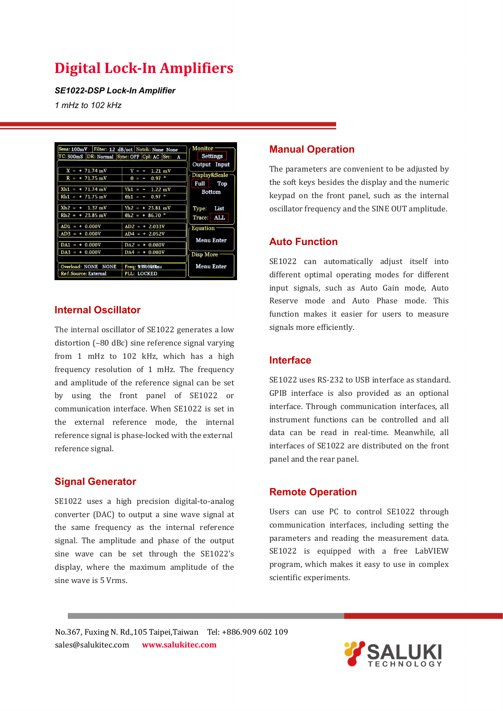*SE1022-DSP Lock-In Amplifier 1 mHz to 102 kHz*

| TC: 300mS DR: Normal Sync: OFF Cpl: AC Src:                                                          | A                                                                                                                   | Settings                                                        |
|------------------------------------------------------------------------------------------------------|---------------------------------------------------------------------------------------------------------------------|-----------------------------------------------------------------|
| $+ 71.74 \text{ mV}$<br>$X =$<br>71.75 mV<br>R<br>-<br>$Xh1 =$<br>$+71.74$ mV<br>$Rh1 =$<br>71.75 mV | v<br>$1.21$ mV<br>$= -$<br>$0.97$ $^{\circ}$<br>A<br>$Yh1 = -$<br>$1.22$ mV<br>$0.97$ $^{\circ}$<br>$\theta h1 = -$ | Output Input<br>Display&Scale -<br>Full<br>Top<br><b>Bottom</b> |
| $Xh2 = +$<br>$1.37$ mV<br>$Rh2 = + 23.85$ mV                                                         | $Yh2 =$<br>$+ 23.81 \text{ mV}$<br>$\theta h2 =$<br>$+86.70$ °                                                      | List<br>Type:<br>ALL.<br>Trace:                                 |
| $AD1 =$<br>$+ 0.000V$<br>$AD3 = +0.000V$<br>$DA1 = + 0.000V$                                         | $AD2 = +2.033V$<br>$AD4 = + 2.052V$<br>$DA2 = + 0.000V$                                                             | <b>Equation</b><br><b>Menu Enter</b>                            |
| $D A3 = + 0.000 V$<br>Overload: NONE<br><b>NONE</b>                                                  | $+ 0.000V$<br>DA4<br>I<br>Freq: 99000000z                                                                           | Disp More<br><b>Menu Enter</b>                                  |
| Ref.Source: External                                                                                 | PLL: LOCKED                                                                                                         |                                                                 |

# **Internal Oscillator**

The internal oscillator of SE1022 generates a low distortion (–80 dBc) sine reference signal varying from 1 mHz to 102 kHz, which has a high frequency resolution of 1 mHz. The frequency and amplitude of the reference signal can be set by using the front panel of SE1022 or communication interface. When SE1022 is set in the external reference mode, the internal reference signal is phase-locked with the external reference signal.

#### **Signal Generator**

SE1022 uses a high precision digital-to-analog converter (DAC) to output a sine wave signal at the same frequency as the internal reference<br>signal The annulitude and phase of the output parameters and reading the measurement data. signal. The amplitude and phase of the output sine wave can be set through the SE1022's display, where the maximum amplitude of the sine wave is 5 Vrms.

### **Manual Operation**

The parameters are convenient to be adjusted by the soft keys besides the display and the numeric keypad on the front panel, such as the internal oscillator frequency and the SINE OUT amplitude.

# **Auto Function**

SE1022 can automatically adjust itself into different optimal operating modes for different input signals, such as Auto Gain mode, Auto Reserve mode and Auto Phase mode. This function makes it easier for users to measure signals more efficiently.

#### **Interface**

SE1022 uses RS-232 to USB interface as standard. GPIB interface is also provided as an optional interface. Through communication interfaces, all instrument functions can be controlled and all data can be read in real-time. Meanwhile, all interfaces of SE1022 are distributed on the front panel and the rear panel.

# **Remote Operation**

Users can use PC to control SE1022 through communication interfaces, including setting the  $SE1022$  is equipped with a free LabVIEW program, which makes it easy to use in complex scientific experiments.

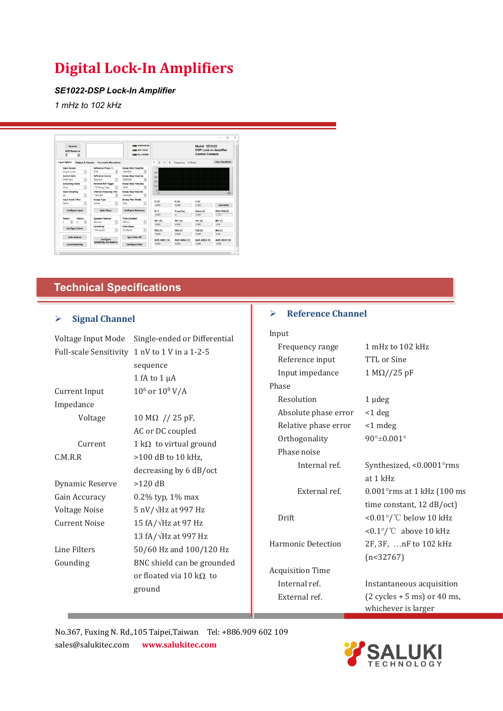#### *SE1022-DSP Lock-In Amplifier*

*1 mHz to 102 kHz*

|                                                   |                                |                                                        |                                   |                   |                                                                        | $\Box$<br>$\times$    |
|---------------------------------------------------|--------------------------------|--------------------------------------------------------|-----------------------------------|-------------------|------------------------------------------------------------------------|-----------------------|
| Connect<br><b>USB Resource</b><br>×               |                                | <b>UNIT OVLD</b><br>ADC OVLD<br><b>LINE PLL LOCKED</b> |                                   |                   | Model SE1022<br><b>DSP Lock-in-Amplifier</b><br><b>Control Console</b> |                       |
| <b>Input Option</b><br><b>Output &amp; Sample</b> | <b>Harmonic Waveform</b>       |                                                        | $\mathbb R$<br>Y<br>x<br>$\theta$ | Frequency X-Noise |                                                                        | <b>Clear Waveform</b> |
| Input Source                                      | Reference Phase (7)            | Sweep Start Freq(Hz)                                   |                                   |                   |                                                                        |                       |
| $\check{\phantom{a}}$<br>Single-Ended             | Ø.<br>0.00                     | ¥.<br>1000,000                                         | $0.8 -$                           |                   |                                                                        |                       |
| Current Gain                                      | Reference Source               | Sweep Stop Freq(Hz)                                    | 0.6                               |                   |                                                                        |                       |
| $\overline{\omega}$<br>1MO Gain                   | External                       | 圈<br>5000,000                                          | $0.4 -$                           |                   |                                                                        |                       |
| <b>Grounding Mode</b>                             | <b>External Ref Trigger</b>    | <b>Sweep Step Time(ms)</b>                             |                                   |                   |                                                                        |                       |
| $\overline{\mathcal{L}}$<br>Float                 | <b>TTL Rising Edge</b>         | 圏<br>1000                                              | $0.2 -$                           |                   |                                                                        |                       |
| <b>Input Coupling</b>                             | <b>Internal Frequency (Hz)</b> | Sweep Step Freq(Hz)                                    | $\overline{a}$<br>$\Omega$        |                   |                                                                        | 500                   |
| Ø<br>AC.                                          | i.<br>1000.000                 | 園<br>1000,000                                          |                                   |                   |                                                                        |                       |
| Input Notch Filter                                | Sweep Type                     | <b>Sweep Run Mode</b>                                  |                                   |                   |                                                                        |                       |
| iU.<br>None                                       | छा<br>tinear                   | M<br>Stop                                              | R <sub>(V)</sub><br>0.000         | X(V)<br>0.000     | Y(N)<br>0.000                                                          | <b>Save Data</b>      |
|                                                   |                                |                                                        |                                   |                   |                                                                        |                       |
| <b>Configure Input</b>                            | <b>Auto Phase</b>              | <b>Configure Reference</b>                             | 0(2)                              | Freq (Hz)         | Noise (V)                                                              | Data Rate(S)          |
|                                                   |                                |                                                        | 0.000                             | $\sim$            | 0.000                                                                  | $\approx 0.1$         |
| Harm 2<br>Harm 1                                  | <b>Dynamic Reserve</b>         | <b>Time Constant</b>                                   | Rh1 (V)                           | XH1 (V)           | Yh1 (V)                                                                | Theta1(2)             |
| G)<br>G<br>$\overline{1}$<br>h                    | Normal<br>W.                   | $\overline{\mathbf{v}}$<br>300 ms                      | 0.000                             | 0.000             | 0.000                                                                  | 0.00                  |
| Configure Harm.                                   | Sensitivity                    | Filter Slope                                           |                                   |                   |                                                                        |                       |
|                                                   | 100 mV/nA<br>c.                | $\overline{\mathbf{v}}$<br>12 dR/oct                   | Rh2 (V)                           | $Xh2$ $ON$        | $Yh2$ $(N)$                                                            | 0h2 ( <sup>1</sup> )  |
|                                                   |                                |                                                        | 0.000                             | 0.000             | 0.000                                                                  | 0.00                  |
| Auto Reserve                                      | Configure                      | <b>Sync Filter Off</b>                                 | AUX-ADC1 (V)                      | AUX-ADC2 (V)      | AUX-ADC3 (V)                                                           | AUX-ADC4 (V)          |
| <b>Auto Sensitivity</b>                           | <b>Sensitivity and Reserve</b> | <b>Configure Filter</b>                                | 0.000                             | 0.000             | 0.000                                                                  | 0.000                 |

# **Technical Specifications**

# **Signal Channel**

F.

|                      | Voltage Input Mode Single-ended or Differential     | Input                     |                                               |
|----------------------|-----------------------------------------------------|---------------------------|-----------------------------------------------|
|                      | Full-scale Sensitivity 1 nV to 1 V in a 1-2-5       | Frequency range           | 1 mHz to 102 kHz                              |
|                      | sequence                                            | Reference input           | TTL or Sine                                   |
|                      | 1 fA to $1 \mu A$                                   | Input impedance           | $1 M\Omega / / 25 pF$                         |
| Current Input        | $10^6$ or $10^8$ V/A                                | Phase                     |                                               |
|                      |                                                     | Resolution                | $1 \mu$ deg                                   |
| Impedance            |                                                     | Absolute phase error      | $<$ 1 deg                                     |
| Voltage              | $10 M\Omega$ // 25 pF,                              | Relative phase error      | $<$ 1 mdeg                                    |
| Current              | AC or DC coupled                                    | Orthogonality             | $90^\circ \pm 0.001^\circ$                    |
|                      | $1 k\Omega$ to virtual ground<br>>100 dB to 10 kHz, | Phase noise               |                                               |
| C.M.R.R              |                                                     | Internal ref.             | Synthesized, <0.0001°rms                      |
|                      | decreasing by 6 dB/oct<br>$>120$ dB                 |                           | at 1 kHz                                      |
| Dynamic Reserve      |                                                     | External ref.             | $0.001$ °rms at 1 kHz (100 ms                 |
| Gain Accuracy        | $0.2\%$ typ, $1\%$ max                              |                           | time constant, 12 dB/oct)                     |
| Voltage Noise        | 5 nV/ $\sqrt{Hz}$ at 997 Hz                         | Drift                     | <0.01°/ $^{\circ}$ C below 10 kHz             |
| <b>Current Noise</b> | 15 fA/ $\sqrt{Hz}$ at 97 Hz                         |                           | <0.1°/ $\degree$ C above 10 kHz               |
|                      | 13 fA/ $\sqrt{Hz}$ at 997 Hz                        | <b>Harmonic Detection</b> | 2F, 3F,  nF to 102 kHz                        |
| Line Filters         | 50/60 Hz and 100/120 Hz                             |                           | (n<32767)                                     |
| Gounding             | BNC shield can be grounded                          | <b>Acquisition Time</b>   |                                               |
|                      | or floated via 10 k $\Omega$ to                     | Internal ref.             | Instantaneous acquisition                     |
|                      | ground                                              | External ref.             | $(2 \text{ cycles} + 5 \text{ ms})$ or 40 ms, |
|                      |                                                     |                           | whichever is larger                           |

**Reference Channel**